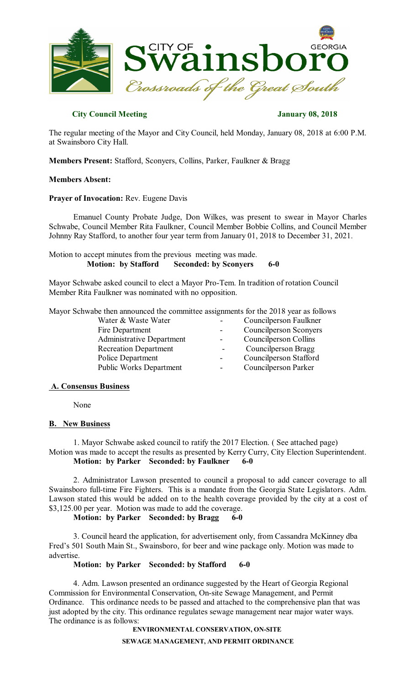

# **City Council Meeting January 08, 2018**

The regular meeting of the Mayor and City Council, held Monday, January 08, 2018 at 6:00 P.M. at Swainsboro City Hall.

**Members Present:** Stafford, Sconyers, Collins, Parker, Faulkner & Bragg

## **Members Absent:**

## **Prayer of Invocation:** Rev. Eugene Davis

Emanuel County Probate Judge, Don Wilkes, was present to swear in Mayor Charles Schwabe, Council Member Rita Faulkner, Council Member Bobbie Collins, and Council Member Johnny Ray Stafford, to another four year term from January 01, 2018 to December 31, 2021.

Motion to accept minutes from the previous meeting was made.<br>Motion: by Stafford Seconded: by Sconyers **Seconded:** by Sconyers **6-0** 

Mayor Schwabe asked council to elect a Mayor Pro-Tem. In tradition of rotation Council Member Rita Faulkner was nominated with no opposition.

Mayor Schwabe then announced the committee assignments for the 2018 year as follows

| Water & Waste Water              | Councilperson Faulkner        |
|----------------------------------|-------------------------------|
| Fire Department                  | <b>Councilperson Sconyers</b> |
| <b>Administrative Department</b> | Councilperson Collins         |
| <b>Recreation Department</b>     | Councilperson Bragg           |
| Police Department                | Councilperson Stafford        |
| <b>Public Works Department</b>   | Councilperson Parker          |
|                                  |                               |

## **A. Consensus Business**

None

## **B. New Business**

1. Mayor Schwabe asked council to ratify the 2017 Election. ( See attached page) Motion was made to accept the results as presented by Kerry Curry, City Election Superintendent. **Motion: by Parker Seconded: by Faulkner 6-0** 

2. Administrator Lawson presented to council a proposal to add cancer coverage to all Swainsboro full-time Fire Fighters. This is a mandate from the Georgia State Legislators. Adm. Lawson stated this would be added on to the health coverage provided by the city at a cost of \$3,125.00 per year. Motion was made to add the coverage.

**Motion: by Parker Seconded: by Bragg 6-0** 

3. Council heard the application, for advertisement only, from Cassandra McKinney dba Fred's 501 South Main St., Swainsboro, for beer and wine package only. Motion was made to advertise.

# **Motion: by Parker Seconded: by Stafford 6-0**

4. Adm. Lawson presented an ordinance suggested by the Heart of Georgia Regional Commission for Environmental Conservation, On-site Sewage Management, and Permit Ordinance. This ordinance needs to be passed and attached to the comprehensive plan that was just adopted by the city. This ordinance regulates sewage management near major water ways. The ordinance is as follows:

**ENVIRONMENTAL CONSERVATION, ON-SITE**

**SEWAGE MANAGEMENT, AND PERMIT ORDINANCE**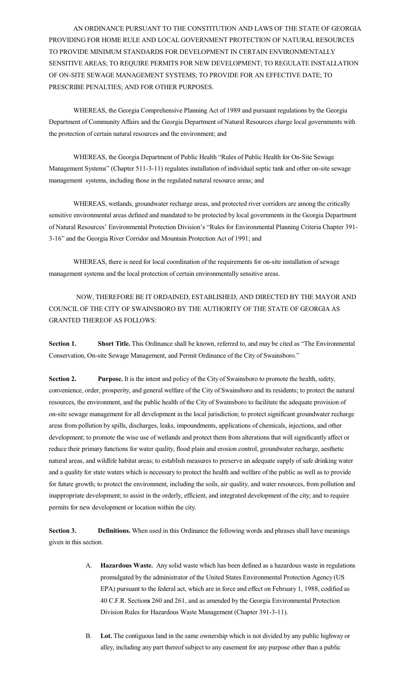AN ORDINANCE PURSUANT TO THE CONSTITUTION AND LAWS OF THE STATE OF GEORGIA PROVIDING FOR HOME RULE AND LOCAL GOVERNMENT PROTECTION OF NATURAL RESOURCES TO PROVIDE MINIMUM STANDARDS FOR DEVELOPMENT IN CERTAIN ENVIRONMENTALLY SENSITIVE AREAS; TO REQUIRE PERMITS FOR NEW DEVELOPMENT; TO REGULATE INSTALLATION OF ON-SITE SEWAGE MANAGEMENT SYSTEMS; TO PROVIDE FOR AN EFFECTIVE DATE; TO PRESCRIBE PENALTIES; AND FOR OTHER PURPOSES.

WHEREAS, the Georgia Comprehensive Planning Act of 1989 and pursuant regulations by the Georgia Department of Community Affairs and the Georgia Department of Natural Resources charge local governments with the protection of certain natural resources and the environment; and

WHEREAS, the Georgia Department of Public Health "Rules of Public Health for On-Site Sewage Management Systems" (Chapter 511-3-11) regulates installation of individual septic tank and other on-site sewage management systems, including those in the regulated natural resource areas; and

WHEREAS, wetlands, groundwater recharge areas, and protected river corridors are among the critically sensitive environmental areas defined and mandated to be protected by local governments in the Georgia Department of Natural Resources' Environmental Protection Division's "Rules for Environmental Planning Criteria Chapter 391- 3-16" and the Georgia River Corridor and Mountain Protection Act of 1991; and

WHEREAS, there is need for local coordination of the requirements for on-site installation of sewage management systems and the local protection of certain environmentally sensitive areas.

NOW, THEREFORE BE IT ORDAINED, ESTABLISHED, AND DIRECTED BY THE MAYOR AND COUNCIL OF THE CITY OF SWAINSBORO BY THE AUTHORITY OF THE STATE OF GEORGIA AS GRANTED THEREOF AS FOLLOWS:

**Section 1. Short Title.** This Ordinance shall be known, referred to, and may be cited as "The Environmental Conservation, On-site Sewage Management, and Permit Ordinance of the City of Swainsboro."

**Section 2. Purpose.** It is the intent and policy of the City of Swainsboro to promote the health, safety, convenience, order, prosperity, and general welfare of the City of Swainsboro and its residents; to protect the natural resources, the environment, and the public health of the City of Swainsboro to facilitate the adequate provision of on-site sewage management for all development in the local jurisdiction; to protect significant groundwater recharge areas from pollution by spills, discharges, leaks, impoundments, applications of chemicals, injections, and other development; to promote the wise use of wetlands and protect them from alterations that will significantly affect or reduce their primary functions for water quality, flood plain and erosion control, groundwater recharge, aesthetic natural areas, and wildlife habitat areas; to establish measures to preserve an adequate supply of safe drinking water and a quality for state waters which is necessary to protect the health and welfare of the public as well as to provide for future growth; to protect the environment, including the soils, air quality, and water resources, from pollution and inappropriate development; to assist in the orderly, efficient, and integrated development of the city; and to require permits for new development or location within the city.

**Section 3. Definitions.** When used in this Ordinance the following words and phrases shall have meanings given in this section.

- A. **Hazardous Waste.** Any solid waste which has been defined as a hazardous waste in regulations promulgated by the administrator of the United States Environmental Protection Agency (US EPA) pursuant to the federal act, which are in force and effect on February 1, 1988, codified as 40 C.F.R. Section**s** 260 and 261, and as amended by the Georgia Environmental Protection Division Rules for Hazardous Waste Management (Chapter 391-3-11).
- B. **Lot.** The contiguous land in the same ownership which is not divided by any public highway or alley, including any part thereof subject to any easement for any purpose other than a public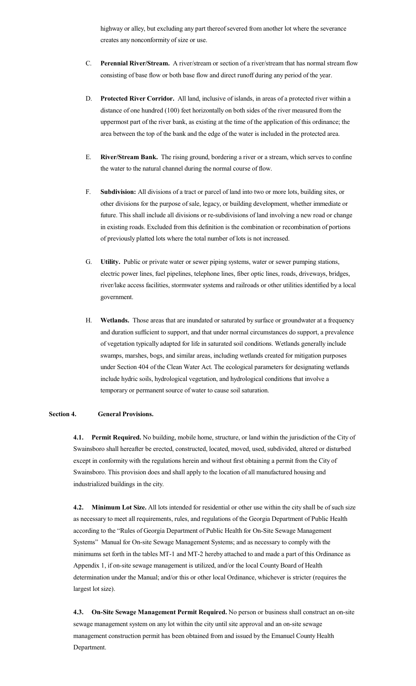highway or alley, but excluding any part thereof severed from another lot where the severance creates any nonconformity of size or use.

- C. **Perennial River/Stream.** A river/stream or section of a river/stream that has normal stream flow consisting of base flow or both base flow and direct runoff during any period of the year.
- D. **Protected River Corridor.** All land, inclusive of islands, in areas of a protected river within a distance of one hundred (100) feet horizontally on both sides of the river measured from the uppermost part of the river bank, as existing at the time of the application of this ordinance; the area between the top of the bank and the edge of the water is included in the protected area.
- E. **River/Stream Bank.** The rising ground, bordering a river or a stream, which serves to confine the water to the natural channel during the normal course of flow.
- F. **Subdivision:** All divisions of a tract or parcel of land into two or more lots, building sites, or other divisions for the purpose of sale, legacy, or building development, whether immediate or future. This shall include all divisions or re-subdivisions of land involving a new road or change in existing roads. Excluded from this definition is the combination or recombination of portions of previously platted lots where the total number of lots is not increased.
- G. **Utility.** Public or private water or sewer piping systems, water or sewer pumping stations, electric power lines, fuel pipelines, telephone lines, fiber optic lines, roads, driveways, bridges, river/lake access facilities, stormwater systems and railroads or other utilities identified by a local government.
- H. **Wetlands.** Those areas that are inundated or saturated by surface or groundwater at a frequency and duration sufficient to support, and that under normal circumstances do support, a prevalence of vegetation typically adapted for life in saturated soil conditions. Wetlands generally include swamps, marshes, bogs, and similar areas, including wetlands created for mitigation purposes under Section 404 of the Clean Water Act. The ecological parameters for designating wetlands include hydric soils, hydrological vegetation, and hydrological conditions that involve a temporary or permanent source of water to cause soil saturation.

#### **Section 4. General Provisions.**

**4.1. Permit Required.** No building, mobile home, structure, or land within the jurisdiction of the City of Swainsboro shall hereafter be erected, constructed, located, moved, used, subdivided, altered or disturbed except in conformity with the regulations herein and without first obtaining a permit from the City of Swainsboro. This provision does and shall apply to the location of all manufactured housing and industrialized buildings in the city.

**4.2. Minimum Lot Size.** All lots intended for residential or other use within the city shall be of such size as necessary to meet all requirements, rules, and regulations of the Georgia Department of Public Health according to the "Rules of Georgia Department of Public Health for On-Site Sewage Management Systems" Manual for On-site Sewage Management Systems; and as necessary to comply with the minimums set forth in the tables MT-1 and MT-2 hereby attached to and made a part of this Ordinance as Appendix 1, if on-site sewage management is utilized, and/or the local County Board of Health determination under the Manual; and/or this or other local Ordinance, whichever is stricter (requires the largest lot size).

**4.3. On-Site Sewage Management Permit Required.** No person or business shall construct an on-site sewage management system on any lot within the city until site approval and an on-site sewage management construction permit has been obtained from and issued by the Emanuel County Health Department.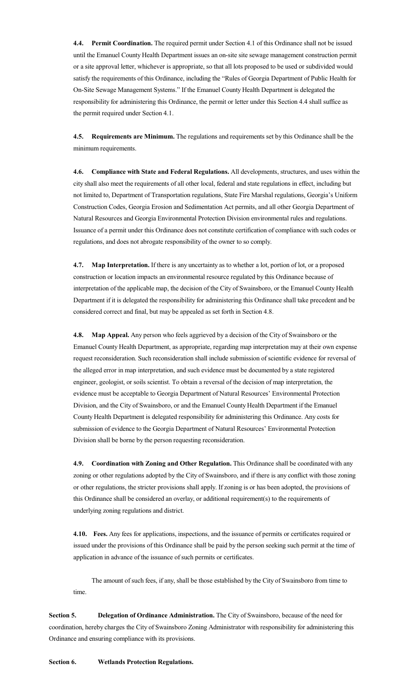**4.4. Permit Coordination.** The required permit under Section 4.1 of this Ordinance shall not be issued until the Emanuel County Health Department issues an on-site site sewage management construction permit or a site approval letter, whichever is appropriate, so that all lots proposed to be used or subdivided would satisfy the requirements of this Ordinance, including the "Rules of Georgia Department of Public Health for On-Site Sewage Management Systems." If the Emanuel County Health Department is delegated the responsibility for administering this Ordinance, the permit or letter under this Section 4.4 shall suffice as the permit required under Section 4.1.

**4.5. Requirements are Minimum.** The regulations and requirements set by this Ordinance shall be the minimum requirements.

**4.6. Compliance with State and Federal Regulations.** All developments, structures, and uses within the city shall also meet the requirements of all other local, federal and state regulations in effect, including but not limited to, Department of Transportation regulations, State Fire Marshal regulations, Georgia's Uniform Construction Codes, Georgia Erosion and Sedimentation Act permits, and all other Georgia Department of Natural Resources and Georgia Environmental Protection Division environmental rules and regulations. Issuance of a permit under this Ordinance does not constitute certification of compliance with such codes or regulations, and does not abrogate responsibility of the owner to so comply.

**4.7. Map Interpretation.** If there is any uncertainty as to whether a lot, portion of lot, or a proposed construction or location impacts an environmental resource regulated by this Ordinance because of interpretation of the applicable map, the decision of the City of Swainsboro, or the Emanuel County Health Department if it is delegated the responsibility for administering this Ordinance shall take precedent and be considered correct and final, but may be appealed as set forth in Section 4.8.

**4.8. Map Appeal.** Any person who feels aggrieved by a decision of the City of Swainsboro or the Emanuel County Health Department, as appropriate, regarding map interpretation may at their own expense request reconsideration. Such reconsideration shall include submission of scientific evidence for reversal of the alleged error in map interpretation, and such evidence must be documented by a state registered engineer, geologist, or soils scientist. To obtain a reversal of the decision of map interpretation, the evidence must be acceptable to Georgia Department of Natural Resources' Environmental Protection Division, and the City of Swainsboro, or and the Emanuel County Health Department if the Emanuel County Health Department is delegated responsibility for administering this Ordinance. Any costs for submission of evidence to the Georgia Department of Natural Resources' Environmental Protection Division shall be borne by the person requesting reconsideration.

**4.9. Coordination with Zoning and Other Regulation.** This Ordinance shall be coordinated with any zoning or other regulations adopted by the City of Swainsboro, and if there is any conflict with those zoning or other regulations, the stricter provisions shall apply. If zoning is or has been adopted, the provisions of this Ordinance shall be considered an overlay, or additional requirement(s) to the requirements of underlying zoning regulations and district.

**4.10. Fees.** Any fees for applications, inspections, and the issuance of permits or certificates required or issued under the provisions of this Ordinance shall be paid by the person seeking such permit at the time of application in advance of the issuance of such permits or certificates.

The amount of such fees, if any, shall be those established by the City of Swainsboro from time to time.

**Section 5. Delegation of Ordinance Administration.** The City of Swainsboro, because of the need for coordination, hereby charges the City of Swainsboro Zoning Administrator with responsibility for administering this Ordinance and ensuring compliance with its provisions.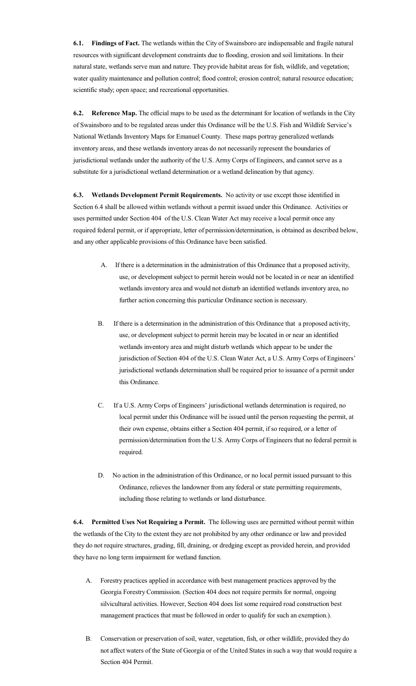**6.1. Findings of Fact.** The wetlands within the City of Swainsboro are indispensable and fragile natural resources with significant development constraints due to flooding, erosion and soil limitations. In their natural state, wetlands serve man and nature. They provide habitat areas for fish, wildlife, and vegetation; water quality maintenance and pollution control; flood control; erosion control; natural resource education; scientific study; open space; and recreational opportunities.

**6.2. Reference Map.** The official maps to be used as the determinant for location of wetlands in the City of Swainsboro and to be regulated areas under this Ordinance will be the U.S. Fish and Wildlife Service's National Wetlands Inventory Maps for Emanuel County. These maps portray generalized wetlands inventory areas, and these wetlands inventory areas do not necessarily represent the boundaries of jurisdictional wetlands under the authority of the U.S. Army Corps of Engineers, and cannot serve as a substitute for a jurisdictional wetland determination or a wetland delineation by that agency.

**6.3. Wetlands Development Permit Requirements.** No activity or use except those identified in Section 6.4 shall be allowed within wetlands without a permit issued under this Ordinance. Activities or uses permitted under Section 404 of the U.S. Clean Water Act may receive a local permit once any required federal permit, or if appropriate, letter of permission/determination, is obtained as described below, and any other applicable provisions of this Ordinance have been satisfied.

- A. If there is a determination in the administration of this Ordinance that a proposed activity, use, or development subject to permit herein would not be located in or near an identified wetlands inventory area and would not disturb an identified wetlands inventory area, no further action concerning this particular Ordinance section is necessary.
- B. If there is a determination in the administration of this Ordinance that a proposed activity, use, or development subject to permit herein may be located in or near an identified wetlands inventory area and might disturb wetlands which appear to be under the jurisdiction of Section 404 of the U.S. Clean Water Act, a U.S. Army Corps of Engineers' jurisdictional wetlands determination shall be required prior to issuance of a permit under this Ordinance.
- C. If a U.S. Army Corps of Engineers' jurisdictional wetlands determination is required, no local permit under this Ordinance will be issued until the person requesting the permit, at their own expense, obtains either a Section 404 permit, if so required, or a letter of permission/determination from the U.S. Army Corps of Engineers that no federal permit is required.
- D. No action in the administration of this Ordinance, or no local permit issued pursuant to this Ordinance, relieves the landowner from any federal or state permitting requirements, including those relating to wetlands or land disturbance.

**6.4. Permitted Uses Not Requiring a Permit.** The following uses are permitted without permit within the wetlands of the City to the extent they are not prohibited by any other ordinance or law and provided they do not require structures, grading, fill, draining, or dredging except as provided herein, and provided they have no long term impairment for wetland function.

- A. Forestry practices applied in accordance with best management practices approved by the Georgia Forestry Commission. (Section 404 does not require permits for normal, ongoing silvicultural activities. However, Section 404 does list some required road construction best management practices that must be followed in order to qualify for such an exemption.).
- B. Conservation or preservation of soil, water, vegetation, fish, or other wildlife, provided they do not affect waters of the State of Georgia or of the United States in such a way that would require a Section 404 Permit.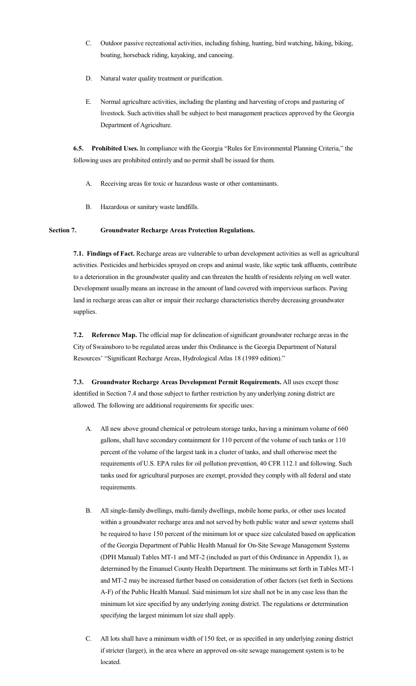- C. Outdoor passive recreational activities, including fishing, hunting, bird watching, hiking, biking, boating, horseback riding, kayaking, and canoeing.
- D. Natural water quality treatment or purification.
- E. Normal agriculture activities, including the planting and harvesting of crops and pasturing of livestock. Such activities shall be subject to best management practices approved by the Georgia Department of Agriculture.

**6.5. Prohibited Uses.** In compliance with the Georgia "Rules for Environmental Planning Criteria," the following uses are prohibited entirely and no permit shall be issued for them.

- A. Receiving areas for toxic or hazardous waste or other contaminants.
- B. Hazardous or sanitary waste landfills.

## **Section 7. Groundwater Recharge Areas Protection Regulations.**

**7.1. Findings of Fact.** Recharge areas are vulnerable to urban development activities as well as agricultural activities. Pesticides and herbicides sprayed on crops and animal waste, like septic tank affluents, contribute to a deterioration in the groundwater quality and can threaten the health of residents relying on well water. Development usually means an increase in the amount of land covered with impervious surfaces. Paving land in recharge areas can alter or impair their recharge characteristics thereby decreasing groundwater supplies.

**7.2. Reference Map.** The official map for delineation ofsignificant groundwater recharge areas in the City of Swainsboro to be regulated areas under this Ordinance is the Georgia Department of Natural Resources' "Significant Recharge Areas, Hydrological Atlas 18 (1989 edition)."

**7.3. Groundwater Recharge Areas Development Permit Requirements.** All uses except those identified in Section 7.4 and those subject to further restriction by any underlying zoning district are allowed. The following are additional requirements for specific uses:

- A. All new above ground chemical or petroleum storage tanks, having a minimum volume of 660 gallons, shall have secondary containment for 110 percent of the volume of such tanks or 110 percent of the volume of the largest tank in a cluster of tanks, and shall otherwise meet the requirements of U.S. EPA rules for oil pollution prevention, 40 CFR 112.1 and following. Such tanks used for agricultural purposes are exempt, provided they comply with all federal and state requirements.
- B. All single-family dwellings, multi-family dwellings, mobile home parks, or other uses located within a groundwater recharge area and not served by both public water and sewer systems shall be required to have 150 percent of the minimum lot or space size calculated based on application of the Georgia Department of Public Health Manual for On-Site Sewage Management Systems (DPH Manual) Tables MT-1 and MT-2 (included as part of this Ordinance in Appendix 1), as determined by the Emanuel County Health Department. The minimums set forth in Tables MT-1 and MT-2 may be increased further based on consideration of other factors (set forth in Sections A-F) of the Public Health Manual. Said minimum lot size shall not be in any case less than the minimum lot size specified by any underlying zoning district. The regulations or determination specifying the largest minimum lot size shall apply.
- C. All lots shall have a minimum width of 150 feet, or as specified in any underlying zoning district if stricter (larger), in the area where an approved on-site sewage management system is to be located.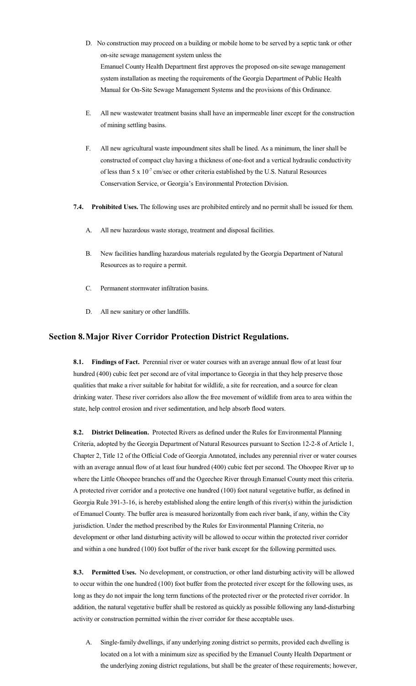- D. No construction may proceed on a building or mobile home to be served by a septic tank or other on-site sewage management system unless the Emanuel County Health Department first approves the proposed on-site sewage management system installation as meeting the requirements of the Georgia Department of Public Health Manual for On-Site Sewage Management Systems and the provisions of this Ordinance.
- E. All new wastewater treatment basins shall have an impermeable liner except for the construction of mining settling basins.
- F. All new agricultural waste impoundment sites shall be lined. As a minimum, the liner shall be constructed of compact clay having a thickness of one-foot and a vertical hydraulic conductivity of less than 5 x  $10^{-7}$  cm/sec or other criteria established by the U.S. Natural Resources Conservation Service, or Georgia's Environmental Protection Division.
- **7.4. Prohibited Uses.** The following uses are prohibited entirely and no permit shall be issued for them.
	- A. All new hazardous waste storage, treatment and disposal facilities.
	- B. New facilities handling hazardous materials regulated by the Georgia Department of Natural Resources as to require a permit.
	- C. Permanent stormwater infiltration basins.
	- D. All new sanitary or other landfills.

## **Section 8.Major River Corridor Protection District Regulations.**

**8.1. Findings of Fact.** Perennial river or water courses with an average annual flow of at least four hundred (400) cubic feet per second are of vital importance to Georgia in that they help preserve those qualities that make a river suitable for habitat for wildlife, a site for recreation, and a source for clean drinking water. These river corridors also allow the free movement of wildlife from area to area within the state, help control erosion and river sedimentation, and help absorb flood waters.

**8.2. District Delineation.** Protected Rivers as defined under the Rules for Environmental Planning Criteria, adopted by the Georgia Department of Natural Resources pursuant to Section 12-2-8 of Article 1, Chapter 2, Title 12 of the Official Code of Georgia Annotated, includes any perennial river or water courses with an average annual flow of at least four hundred (400) cubic feet per second. The Ohoopee River up to where the Little Ohoopee branches off and the Ogeechee River through Emanuel County meet this criteria. A protected river corridor and a protective one hundred (100) foot natural vegetative buffer, as defined in Georgia Rule 391-3-16, is hereby established along the entire length of this river(s) within the jurisdiction of Emanuel County. The buffer area is measured horizontally from each river bank, if any, within the City jurisdiction. Under the method prescribed by the Rules for Environmental Planning Criteria, no development or other land disturbing activity will be allowed to occur within the protected river corridor and within a one hundred (100) foot buffer of the river bank except for the following permitted uses.

**8.3. Permitted Uses.** No development, or construction, or other land disturbing activity will be allowed to occur within the one hundred (100) foot buffer from the protected river except for the following uses, as long as they do not impair the long term functions of the protected river or the protected river corridor. In addition, the natural vegetative buffer shall be restored as quickly as possible following any land-disturbing activity or construction permitted within the river corridor for these acceptable uses.

A. Single-family dwellings, if any underlying zoning district so permits, provided each dwelling is located on a lot with a minimum size as specified by the Emanuel County Health Department or the underlying zoning district regulations, but shall be the greater of these requirements; however,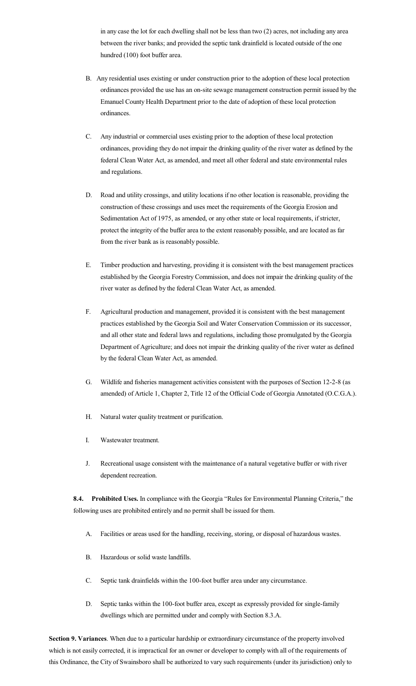in any case the lot for each dwelling shall not be less than two (2) acres, not including any area between the river banks; and provided the septic tank drainfield is located outside of the one hundred (100) foot buffer area.

- B. Any residential uses existing or under construction prior to the adoption of these local protection ordinances provided the use has an on-site sewage management construction permit issued by the Emanuel County Health Department prior to the date of adoption of these local protection ordinances.
- C. Any industrial or commercial uses existing prior to the adoption of these local protection ordinances, providing they do not impair the drinking quality of the river water as defined by the federal Clean Water Act, as amended, and meet all other federal and state environmental rules and regulations.
- D. Road and utility crossings, and utility locations if no other location is reasonable, providing the construction of these crossings and uses meet the requirements of the Georgia Erosion and Sedimentation Act of 1975, as amended, or any other state or local requirements, if stricter, protect the integrity of the buffer area to the extent reasonably possible, and are located as far from the river bank as is reasonably possible.
- E. Timber production and harvesting, providing it is consistent with the best management practices established by the Georgia Forestry Commission, and does not impair the drinking quality of the river water as defined by the federal Clean Water Act, as amended.
- F. Agricultural production and management, provided it is consistent with the best management practices established by the Georgia Soil and Water Conservation Commission or its successor, and all other state and federal laws and regulations, including those promulgated by the Georgia Department of Agriculture; and does not impair the drinking quality of the river water as defined by the federal Clean Water Act, as amended.
- G. Wildlife and fisheries management activities consistent with the purposes of Section 12-2-8 (as amended) of Article 1, Chapter 2, Title 12 of the Official Code of Georgia Annotated (O.C.G.A.).
- H. Natural water quality treatment or purification.
- I. Wastewater treatment.
- J. Recreational usage consistent with the maintenance of a natural vegetative buffer or with river dependent recreation.

**8.4. Prohibited Uses.** In compliance with the Georgia "Rules for Environmental Planning Criteria," the following uses are prohibited entirely and no permit shall be issued for them.

- A. Facilities or areas used for the handling, receiving, storing, or disposal of hazardous wastes.
- B. Hazardous or solid waste landfills.
- C. Septic tank drainfields within the 100-foot buffer area under any circumstance.
- D. Septic tanks within the 100-foot buffer area, except as expressly provided for single-family dwellings which are permitted under and comply with Section 8.3.A.

**Section 9. Variances**. When due to a particular hardship or extraordinary circumstance of the property involved which is not easily corrected, it is impractical for an owner or developer to comply with all of the requirements of this Ordinance, the City of Swainsboro shall be authorized to vary such requirements (under its jurisdiction) only to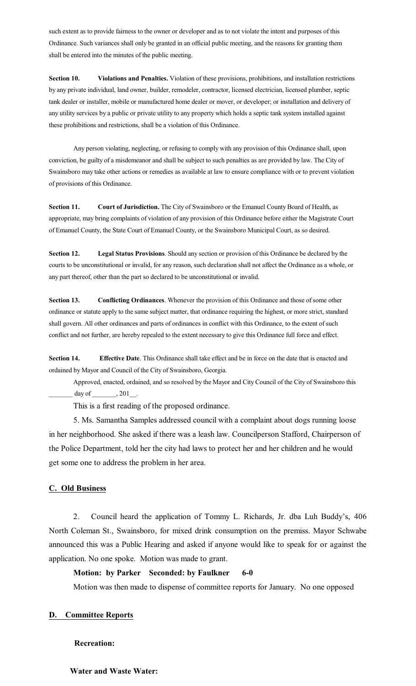such extent as to provide fairness to the owner or developer and as to not violate the intent and purposes of this Ordinance. Such variances shall only be granted in an official public meeting, and the reasons for granting them shall be entered into the minutes of the public meeting.

**Section 10. Violations and Penalties.** Violation of these provisions, prohibitions, and installation restrictions by any private individual, land owner, builder, remodeler, contractor, licensed electrician, licensed plumber, septic tank dealer or installer, mobile or manufactured home dealer or mover, or developer; or installation and delivery of any utility services by a public or private utility to any property which holds a septic tank system installed against these prohibitions and restrictions, shall be a violation of this Ordinance.

Any person violating, neglecting, or refusing to comply with any provision of this Ordinance shall, upon conviction, be guilty of a misdemeanor and shall be subject to such penalties as are provided by law. The City of Swainsboro may take other actions or remedies as available at law to ensure compliance with or to prevent violation of provisions of this Ordinance.

**Section 11. Court of Jurisdiction.** The City of Swainsboro or the Emanuel County Board of Health, as appropriate, may bring complaints of violation of any provision of this Ordinance before either the Magistrate Court of Emanuel County, the State Court of Emanuel County, or the Swainsboro Municipal Court, as so desired.

**Section 12. Legal Status Provisions**. Should any section or provision of this Ordinance be declared by the courts to be unconstitutional or invalid, for any reason, such declaration shall not affect the Ordinance as a whole, or any part thereof, other than the part so declared to be unconstitutional or invalid.

**Section 13. Conflicting Ordinances**. Whenever the provision of this Ordinance and those of some other ordinance or statute apply to the same subject matter, that ordinance requiring the highest, or more strict, standard shall govern. All other ordinances and parts of ordinances in conflict with this Ordinance, to the extent of such conflict and not further, are hereby repealed to the extent necessary to give this Ordinance full force and effect.

**Section 14. Effective Date**. This Ordinance shall take effect and be in force on the date that is enacted and ordained by Mayor and Council of the City of Swainsboro, Georgia.

Approved, enacted, ordained, and so resolved by the Mayor and City Council of the City of Swainsboro this  $\frac{1}{201}$ .  $\frac{1}{201}$ .

This is a first reading of the proposed ordinance.

5. Ms. Samantha Samples addressed council with a complaint about dogs running loose in her neighborhood. She asked if there was a leash law. Councilperson Stafford, Chairperson of the Police Department, told her the city had laws to protect her and her children and he would get some one to address the problem in her area.

# **C. Old Business**

2. Council heard the application of Tommy L. Richards, Jr. dba Luh Buddy's, 406 North Coleman St., Swainsboro, for mixed drink consumption on the premiss. Mayor Schwabe announced this was a Public Hearing and asked if anyone would like to speak for or against the application. No one spoke. Motion was made to grant.

# **Motion: by Parker Seconded: by Faulkner 6-0**

Motion was then made to dispense of committee reports for January. No one opposed

# **D. Committee Reports**

**Recreation:**

### **Water and Waste Water:**